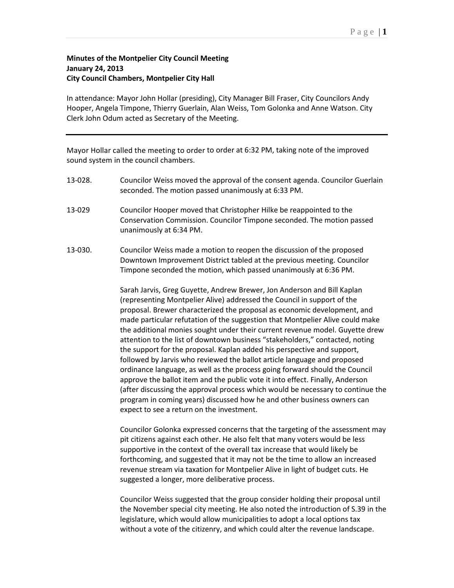## **Minutes of the Montpelier City Council Meeting January 24, 2013 City Council Chambers, Montpelier City Hall**

In attendance: Mayor John Hollar (presiding), City Manager Bill Fraser, City Councilors Andy Hooper, Angela Timpone, Thierry Guerlain, Alan Weiss, Tom Golonka and Anne Watson. City Clerk John Odum acted as Secretary of the Meeting.

Mayor Hollar called the meeting to order to order at 6:32 PM, taking note of the improved sound system in the council chambers.

- 13-028. Councilor Weiss moved the approval of the consent agenda. Councilor Guerlain seconded. The motion passed unanimously at 6:33 PM.
- 13-029 Councilor Hooper moved that Christopher Hilke be reappointed to the Conservation Commission. Councilor Timpone seconded. The motion passed unanimously at 6:34 PM.
- 13-030. Councilor Weiss made a motion to reopen the discussion of the proposed Downtown Improvement District tabled at the previous meeting. Councilor Timpone seconded the motion, which passed unanimously at 6:36 PM.

Sarah Jarvis, Greg Guyette, Andrew Brewer, Jon Anderson and Bill Kaplan (representing Montpelier Alive) addressed the Council in support of the proposal. Brewer characterized the proposal as economic development, and made particular refutation of the suggestion that Montpelier Alive could make the additional monies sought under their current revenue model. Guyette drew attention to the list of downtown business "stakeholders," contacted, noting the support for the proposal. Kaplan added his perspective and support, followed by Jarvis who reviewed the ballot article language and proposed ordinance language, as well as the process going forward should the Council approve the ballot item and the public vote it into effect. Finally, Anderson (after discussing the approval process which would be necessary to continue the program in coming years) discussed how he and other business owners can expect to see a return on the investment.

Councilor Golonka expressed concerns that the targeting of the assessment may pit citizens against each other. He also felt that many voters would be less supportive in the context of the overall tax increase that would likely be forthcoming, and suggested that it may not be the time to allow an increased revenue stream via taxation for Montpelier Alive in light of budget cuts. He suggested a longer, more deliberative process.

Councilor Weiss suggested that the group consider holding their proposal until the November special city meeting. He also noted the introduction of S.39 in the legislature, which would allow municipalities to adopt a local options tax without a vote of the citizenry, and which could alter the revenue landscape.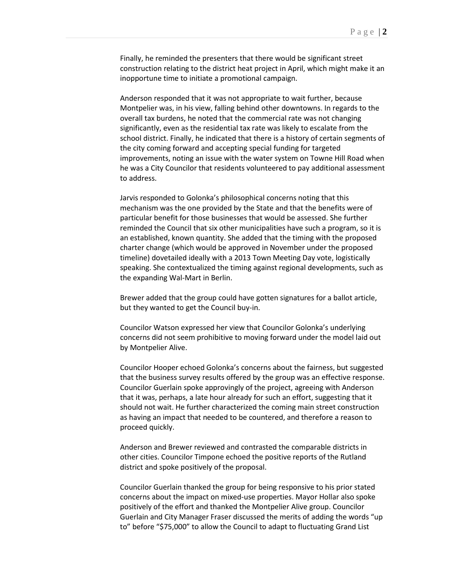Finally, he reminded the presenters that there would be significant street construction relating to the district heat project in April, which might make it an inopportune time to initiate a promotional campaign.

Anderson responded that it was not appropriate to wait further, because Montpelier was, in his view, falling behind other downtowns. In regards to the overall tax burdens, he noted that the commercial rate was not changing significantly, even as the residential tax rate was likely to escalate from the school district. Finally, he indicated that there is a history of certain segments of the city coming forward and accepting special funding for targeted improvements, noting an issue with the water system on Towne Hill Road when he was a City Councilor that residents volunteered to pay additional assessment to address.

Jarvis responded to Golonka's philosophical concerns noting that this mechanism was the one provided by the State and that the benefits were of particular benefit for those businesses that would be assessed. She further reminded the Council that six other municipalities have such a program, so it is an established, known quantity. She added that the timing with the proposed charter change (which would be approved in November under the proposed timeline) dovetailed ideally with a 2013 Town Meeting Day vote, logistically speaking. She contextualized the timing against regional developments, such as the expanding Wal-Mart in Berlin.

Brewer added that the group could have gotten signatures for a ballot article, but they wanted to get the Council buy-in.

Councilor Watson expressed her view that Councilor Golonka's underlying concerns did not seem prohibitive to moving forward under the model laid out by Montpelier Alive.

Councilor Hooper echoed Golonka's concerns about the fairness, but suggested that the business survey results offered by the group was an effective response. Councilor Guerlain spoke approvingly of the project, agreeing with Anderson that it was, perhaps, a late hour already for such an effort, suggesting that it should not wait. He further characterized the coming main street construction as having an impact that needed to be countered, and therefore a reason to proceed quickly.

Anderson and Brewer reviewed and contrasted the comparable districts in other cities. Councilor Timpone echoed the positive reports of the Rutland district and spoke positively of the proposal.

Councilor Guerlain thanked the group for being responsive to his prior stated concerns about the impact on mixed-use properties. Mayor Hollar also spoke positively of the effort and thanked the Montpelier Alive group. Councilor Guerlain and City Manager Fraser discussed the merits of adding the words "up to" before "\$75,000" to allow the Council to adapt to fluctuating Grand List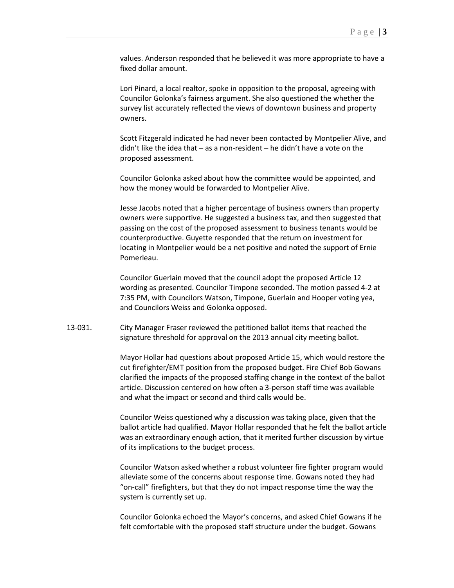values. Anderson responded that he believed it was more appropriate to have a fixed dollar amount.

Lori Pinard, a local realtor, spoke in opposition to the proposal, agreeing with Councilor Golonka's fairness argument. She also questioned the whether the survey list accurately reflected the views of downtown business and property owners.

Scott Fitzgerald indicated he had never been contacted by Montpelier Alive, and didn't like the idea that – as a non-resident – he didn't have a vote on the proposed assessment.

Councilor Golonka asked about how the committee would be appointed, and how the money would be forwarded to Montpelier Alive.

Jesse Jacobs noted that a higher percentage of business owners than property owners were supportive. He suggested a business tax, and then suggested that passing on the cost of the proposed assessment to business tenants would be counterproductive. Guyette responded that the return on investment for locating in Montpelier would be a net positive and noted the support of Ernie Pomerleau.

Councilor Guerlain moved that the council adopt the proposed Article 12 wording as presented. Councilor Timpone seconded. The motion passed 4-2 at 7:35 PM, with Councilors Watson, Timpone, Guerlain and Hooper voting yea, and Councilors Weiss and Golonka opposed.

13-031. City Manager Fraser reviewed the petitioned ballot items that reached the signature threshold for approval on the 2013 annual city meeting ballot.

> Mayor Hollar had questions about proposed Article 15, which would restore the cut firefighter/EMT position from the proposed budget. Fire Chief Bob Gowans clarified the impacts of the proposed staffing change in the context of the ballot article. Discussion centered on how often a 3-person staff time was available and what the impact or second and third calls would be.

> Councilor Weiss questioned why a discussion was taking place, given that the ballot article had qualified. Mayor Hollar responded that he felt the ballot article was an extraordinary enough action, that it merited further discussion by virtue of its implications to the budget process.

Councilor Watson asked whether a robust volunteer fire fighter program would alleviate some of the concerns about response time. Gowans noted they had "on-call" firefighters, but that they do not impact response time the way the system is currently set up.

Councilor Golonka echoed the Mayor's concerns, and asked Chief Gowans if he felt comfortable with the proposed staff structure under the budget. Gowans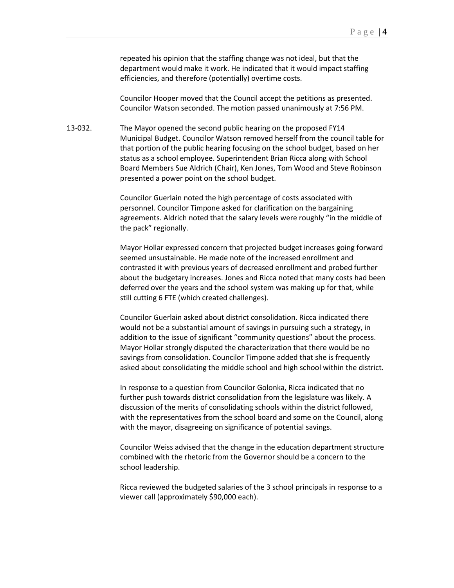repeated his opinion that the staffing change was not ideal, but that the department would make it work. He indicated that it would impact staffing efficiencies, and therefore (potentially) overtime costs.

Councilor Hooper moved that the Council accept the petitions as presented. Councilor Watson seconded. The motion passed unanimously at 7:56 PM.

13-032. The Mayor opened the second public hearing on the proposed FY14 Municipal Budget. Councilor Watson removed herself from the council table for that portion of the public hearing focusing on the school budget, based on her status as a school employee. Superintendent Brian Ricca along with School Board Members Sue Aldrich (Chair), Ken Jones, Tom Wood and Steve Robinson presented a power point on the school budget.

> Councilor Guerlain noted the high percentage of costs associated with personnel. Councilor Timpone asked for clarification on the bargaining agreements. Aldrich noted that the salary levels were roughly "in the middle of the pack" regionally.

Mayor Hollar expressed concern that projected budget increases going forward seemed unsustainable. He made note of the increased enrollment and contrasted it with previous years of decreased enrollment and probed further about the budgetary increases. Jones and Ricca noted that many costs had been deferred over the years and the school system was making up for that, while still cutting 6 FTE (which created challenges).

Councilor Guerlain asked about district consolidation. Ricca indicated there would not be a substantial amount of savings in pursuing such a strategy, in addition to the issue of significant "community questions" about the process. Mayor Hollar strongly disputed the characterization that there would be no savings from consolidation. Councilor Timpone added that she is frequently asked about consolidating the middle school and high school within the district.

In response to a question from Councilor Golonka, Ricca indicated that no further push towards district consolidation from the legislature was likely. A discussion of the merits of consolidating schools within the district followed, with the representatives from the school board and some on the Council, along with the mayor, disagreeing on significance of potential savings.

Councilor Weiss advised that the change in the education department structure combined with the rhetoric from the Governor should be a concern to the school leadership.

Ricca reviewed the budgeted salaries of the 3 school principals in response to a viewer call (approximately \$90,000 each).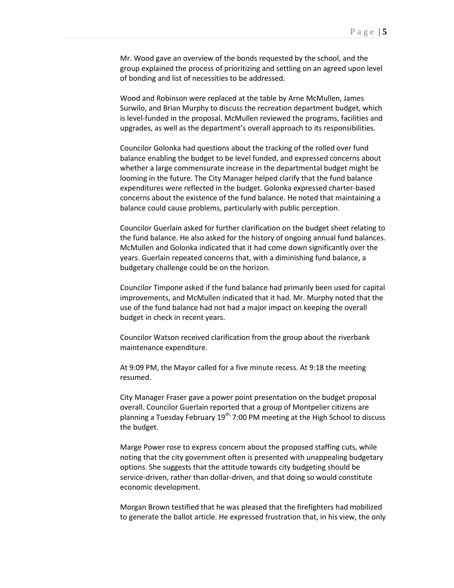Mr. Wood gave an overview of the bonds requested by the school, and the group explained the process of prioritizing and settling on an agreed upon level of bonding and list of necessities to be addressed.

Wood and Robinson were replaced at the table by Arne McMullen, James Surwilo, and Brian Murphy to discuss the recreation department budget, which is level-funded in the proposal. McMullen reviewed the programs, facilities and upgrades, as well as the department's overall approach to its responsibilities.

Councilor Golonka had questions about the tracking of the rolled over fund balance enabling the budget to be level funded, and expressed concerns about whether a large commensurate increase in the departmental budget might be looming in the future. The City Manager helped clarify that the fund balance expenditures were reflected in the budget. Golonka expressed charter-based concerns about the existence of the fund balance. He noted that maintaining a balance could cause problems, particularly with public perception.

Councilor Guerlain asked for further clarification on the budget sheet relating to the fund balance. He also asked for the history of ongoing annual fund balances. McMullen and Golonka indicated that it had come down significantly over the years. Guerlain repeated concerns that, with a diminishing fund balance, a budgetary challenge could be on the horizon.

Councilor Timpone asked if the fund balance had primarily been used for capital improvements, and McMullen indicated that it had. Mr. Murphy noted that the use of the fund balance had not had a major impact on keeping the overall budget in check in recent years.

Councilor Watson received clarification from the group about the riverbank maintenance expenditure.

At 9:09 PM, the Mayor called for a five minute recess. At 9:18 the meeting resumed.

City Manager Fraser gave a power point presentation on the budget proposal overall. Councilor Guerlain reported that a group of Montpelier citizens are planning a Tuesday February  $19<sup>th</sup>$ , 7:00 PM meeting at the High School to discuss the budget.

Marge Power rose to express concern about the proposed staffing cuts, while noting that the city government often is presented with unappealing budgetary options. She suggests that the attitude towards city budgeting should be service-driven, rather than dollar-driven, and that doing so would constitute economic development.

Morgan Brown testified that he was pleased that the firefighters had mobilized to generate the ballot article. He expressed frustration that, in his view, the only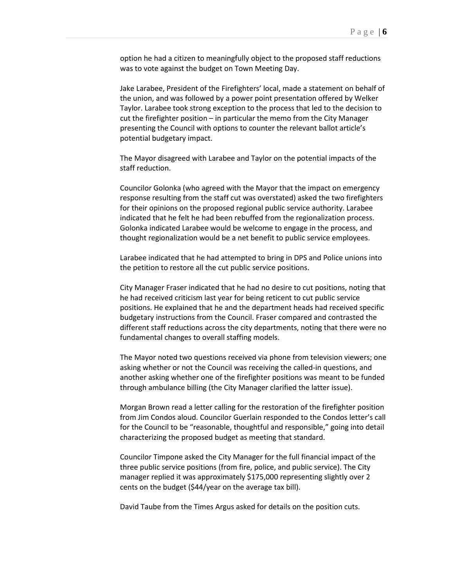option he had a citizen to meaningfully object to the proposed staff reductions was to vote against the budget on Town Meeting Day.

Jake Larabee, President of the Firefighters' local, made a statement on behalf of the union, and was followed by a power point presentation offered by Welker Taylor. Larabee took strong exception to the process that led to the decision to cut the firefighter position – in particular the memo from the City Manager presenting the Council with options to counter the relevant ballot article's potential budgetary impact.

The Mayor disagreed with Larabee and Taylor on the potential impacts of the staff reduction.

Councilor Golonka (who agreed with the Mayor that the impact on emergency response resulting from the staff cut was overstated) asked the two firefighters for their opinions on the proposed regional public service authority. Larabee indicated that he felt he had been rebuffed from the regionalization process. Golonka indicated Larabee would be welcome to engage in the process, and thought regionalization would be a net benefit to public service employees.

Larabee indicated that he had attempted to bring in DPS and Police unions into the petition to restore all the cut public service positions.

City Manager Fraser indicated that he had no desire to cut positions, noting that he had received criticism last year for being reticent to cut public service positions. He explained that he and the department heads had received specific budgetary instructions from the Council. Fraser compared and contrasted the different staff reductions across the city departments, noting that there were no fundamental changes to overall staffing models.

The Mayor noted two questions received via phone from television viewers; one asking whether or not the Council was receiving the called-in questions, and another asking whether one of the firefighter positions was meant to be funded through ambulance billing (the City Manager clarified the latter issue).

Morgan Brown read a letter calling for the restoration of the firefighter position from Jim Condos aloud. Councilor Guerlain responded to the Condos letter's call for the Council to be "reasonable, thoughtful and responsible," going into detail characterizing the proposed budget as meeting that standard.

Councilor Timpone asked the City Manager for the full financial impact of the three public service positions (from fire, police, and public service). The City manager replied it was approximately \$175,000 representing slightly over 2 cents on the budget (\$44/year on the average tax bill).

David Taube from the Times Argus asked for details on the position cuts.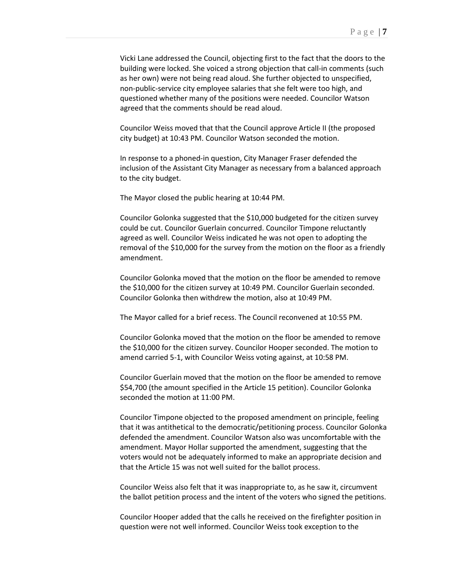Vicki Lane addressed the Council, objecting first to the fact that the doors to the building were locked. She voiced a strong objection that call-in comments (such as her own) were not being read aloud. She further objected to unspecified, non-public-service city employee salaries that she felt were too high, and questioned whether many of the positions were needed. Councilor Watson agreed that the comments should be read aloud.

Councilor Weiss moved that that the Council approve Article II (the proposed city budget) at 10:43 PM. Councilor Watson seconded the motion.

In response to a phoned-in question, City Manager Fraser defended the inclusion of the Assistant City Manager as necessary from a balanced approach to the city budget.

The Mayor closed the public hearing at 10:44 PM.

Councilor Golonka suggested that the \$10,000 budgeted for the citizen survey could be cut. Councilor Guerlain concurred. Councilor Timpone reluctantly agreed as well. Councilor Weiss indicated he was not open to adopting the removal of the \$10,000 for the survey from the motion on the floor as a friendly amendment.

Councilor Golonka moved that the motion on the floor be amended to remove the \$10,000 for the citizen survey at 10:49 PM. Councilor Guerlain seconded. Councilor Golonka then withdrew the motion, also at 10:49 PM.

The Mayor called for a brief recess. The Council reconvened at 10:55 PM.

Councilor Golonka moved that the motion on the floor be amended to remove the \$10,000 for the citizen survey. Councilor Hooper seconded. The motion to amend carried 5-1, with Councilor Weiss voting against, at 10:58 PM.

Councilor Guerlain moved that the motion on the floor be amended to remove \$54,700 (the amount specified in the Article 15 petition). Councilor Golonka seconded the motion at 11:00 PM.

Councilor Timpone objected to the proposed amendment on principle, feeling that it was antithetical to the democratic/petitioning process. Councilor Golonka defended the amendment. Councilor Watson also was uncomfortable with the amendment. Mayor Hollar supported the amendment, suggesting that the voters would not be adequately informed to make an appropriate decision and that the Article 15 was not well suited for the ballot process.

Councilor Weiss also felt that it was inappropriate to, as he saw it, circumvent the ballot petition process and the intent of the voters who signed the petitions.

Councilor Hooper added that the calls he received on the firefighter position in question were not well informed. Councilor Weiss took exception to the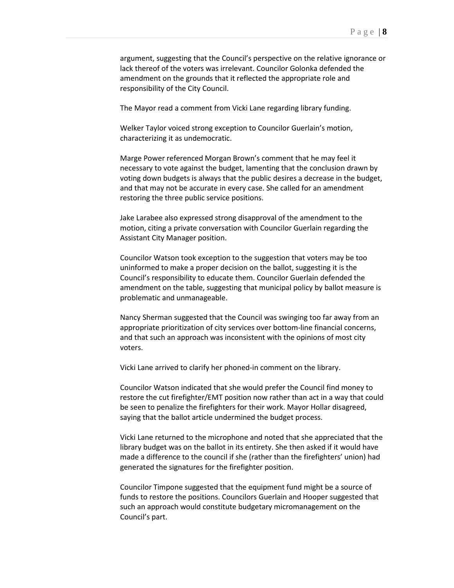argument, suggesting that the Council's perspective on the relative ignorance or lack thereof of the voters was irrelevant. Councilor Golonka defended the amendment on the grounds that it reflected the appropriate role and responsibility of the City Council.

The Mayor read a comment from Vicki Lane regarding library funding.

Welker Taylor voiced strong exception to Councilor Guerlain's motion, characterizing it as undemocratic.

Marge Power referenced Morgan Brown's comment that he may feel it necessary to vote against the budget, lamenting that the conclusion drawn by voting down budgets is always that the public desires a decrease in the budget, and that may not be accurate in every case. She called for an amendment restoring the three public service positions.

Jake Larabee also expressed strong disapproval of the amendment to the motion, citing a private conversation with Councilor Guerlain regarding the Assistant City Manager position.

Councilor Watson took exception to the suggestion that voters may be too uninformed to make a proper decision on the ballot, suggesting it is the Council's responsibility to educate them. Councilor Guerlain defended the amendment on the table, suggesting that municipal policy by ballot measure is problematic and unmanageable.

Nancy Sherman suggested that the Council was swinging too far away from an appropriate prioritization of city services over bottom-line financial concerns, and that such an approach was inconsistent with the opinions of most city voters.

Vicki Lane arrived to clarify her phoned-in comment on the library.

Councilor Watson indicated that she would prefer the Council find money to restore the cut firefighter/EMT position now rather than act in a way that could be seen to penalize the firefighters for their work. Mayor Hollar disagreed, saying that the ballot article undermined the budget process.

Vicki Lane returned to the microphone and noted that she appreciated that the library budget was on the ballot in its entirety. She then asked if it would have made a difference to the council if she (rather than the firefighters' union) had generated the signatures for the firefighter position.

Councilor Timpone suggested that the equipment fund might be a source of funds to restore the positions. Councilors Guerlain and Hooper suggested that such an approach would constitute budgetary micromanagement on the Council's part.